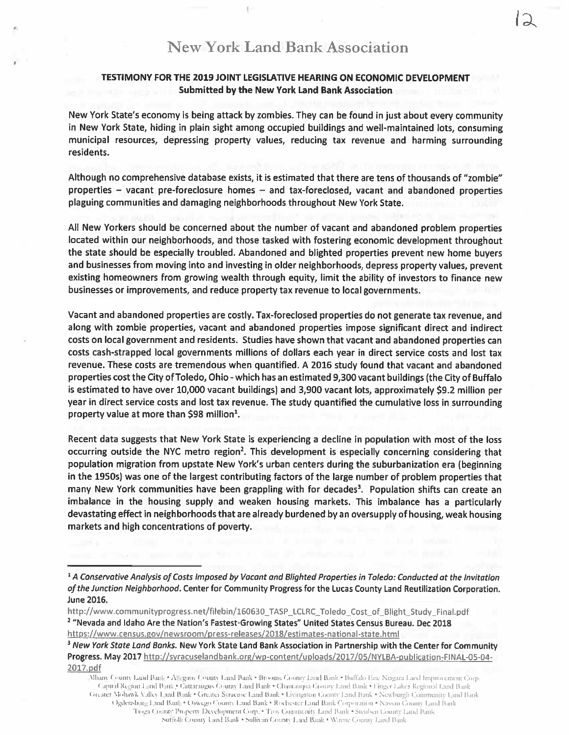## TESTIMONY FOR THE 2019 JOINT LEGISLATIVE HEARING ON ECONOMIC DEVELOPMENT Submitted by the New York Land Bank Association

New York State's economy is being attack by zombies. They can be found in just about every community in New York State, hiding in plain sight among occupied buildings and well-maintained lots, consuming municipal resources, depressing property values, reducing tax revenue and harming surrounding residents.

Although no comprehensive database exists, it is estimated that there are tens of thousands of "zombie" properties — vacant pre-foreclosure homes — and tax-foreclosed, vacant and abandoned properties plaguing communities and damaging neighborhoods throughout New York State.

All New Yorkers should be concerned about the number of vacant and abandoned problem properties located within our neighborhoods, and those tasked with fostering economic development throughout the state should be especially troubled. Abandoned and blighted properties preven<sup>t</sup> new home buyers and businesses from moving into and investing in older neighborhoods, depress property values, preven<sup>t</sup> existing homeowners from growing wealth through equity, limit the ability of investors to finance new businesses or improvements, and reduce property tax revenue to local governments.

Vacant and abandoned properties are costly. Tax-foreclosed properties do not generate tax revenue, and along with zombie properties, vacant and abandoned properties impose significant direct and indirect costs on local governmen<sup>t</sup> and residents. Studies have shown that vacant and abandoned properties can costs cash-strapped local governments millions of dollars each year in direct service costs and lost tax revenue. These costs are tremendous when quantified. A 2016 study found that vacant and abandoned properties cost the City of Toledo, Ohio -which has an estimated 9,300 vacant buildings (the City of Buffalo is estimated to have over 10,000 vacant buildings) and 3,900 vacant lots, approximately \$9.2 million per year in direct service costs and lost tax revenue. The study quantified the cumulative loss in surrounding property value at more than \$98 million<sup>1</sup>.

Recent data suggests that New York State is experiencing <sup>a</sup> decline in population with most of the loss occurring outside the NYC metro region<sup>2</sup>. This development is especially concerning considering that population migration from upstate New York's urban centers during the suburbanization era (beginning in the 19505) was one of the largest contributing factors of the large number of problem properties that many New York communities have been grappling with for decades<sup>3</sup>. Population shifts can create an imbalance in the housing supply and weaken housing markets. This imbalance has <sup>a</sup> particularly devastating effect in neighborhoods that are already burdened by an oversupply of housing, weak housing markets and high concentrations of poverty.

<sup>&</sup>lt;sup>1</sup> A Conservative Analysis of Costs imposed by Vacant and Blighted Properties in Toledo: Conducted at the Invitation of the Junction Neighborhood. Center for Community Progress for the Lucas County Land Reutilization Corporation. June 2016.

http://www.communityprogress.net/filebin/160630\_TASP\_LCLRC\_Toledo\_Cost\_of\_Blight\_Study\_Final.pdf <sup>2</sup> "Nevada and Idaho Are the Nation's Fastest-Growing States" United States Census Bureau. Dec <sup>2018</sup> https://www.census.gov/newsroom/press-releases/2018/estimates-national-state.html

<sup>&</sup>lt;sup>3</sup> New York State Land Banks. New York State Land Bank Association in Partnership with the Center for Community Progress. May <sup>2017</sup> http://syracuselandbank.org/wp-content/uploads/20i7/0S/NYLBA.publication-FINAL-05-04- 2017. pdf

Albany County Land Bank . Allegany County Land Bank . Broome County Land Bank . Buffalo Erre Nizgara Land Improvement Corp. Capital Region Lind Bink • Cattaraugus County Land Bank • Chamauqua County Land Bank • Finger Lakes Regional Land Bank Greater Mohawk Valley Land Bank • Greater Syracuse Land Bank • Livingston County Land Bank • Newburgh Community Land Bank Ogdensbing Land Bank • Oswego County Land Bank • Rochester Land Bank Corporation • Nassau County Land Bank Tinga County Property Development Corp. • Troy Community Land Bank • Steuben County Land Bank Suffolk County Land Bank • Sullivan County Land Bank • Wayne County Land Bank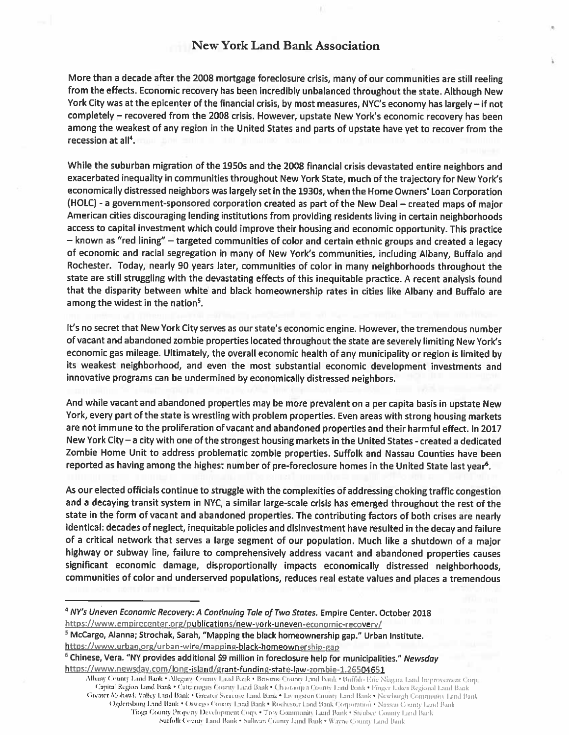## New York Land Bank Association

More than <sup>a</sup> decade after the <sup>2008</sup> mortgage foreclosure crisis, many of our communities are still reeling from the effects. Economic recovery has been incredibly unbalanced throughout the state. Although New York City was at the epicenter of the financial crisis, by most measures, NYC's economy has largely — if not completely — recovered from the <sup>2008</sup> crisis. However, upstate New York's economic recovery has been among the weakest of any region in the United States and parts of upstate have ye<sup>t</sup> to recover from the recession at all<sup>4</sup>.

While the suburban migration of the 1950s and the <sup>2008</sup> financial crisis devastated entire neighbors and exacerbated inequality in communities throughout New York State, much of the trajectory for New York's economically distressed neighbors was largely set in the 1930s, when the Home Owners' Loan Corporation (HOLC) - <sup>a</sup> government-sponsored corporation created as par<sup>t</sup> of the New Deal — created maps of major American cities discouraging lending institutions from providing residents living in certain neighborhoods access to capital investment which could improve their housing and economic opportunity. This practice — known as "red lining" — targeted communities of color and certain ethnic groups and created <sup>a</sup> legacy of economic and racial segregation in many of New York's communities, including Albany, Buffalo and Rochester. Today, nearly <sup>90</sup> years later, communities of color in many neighborhoods throughout the state are still struggling with the devastating effects of this inequitable practice. <sup>A</sup> recent analysis found that the disparity between white and black homeownership rates in cities like Albany and Buffalo are among the widest in the nation<sup>5</sup>.

It's no secret that New York City serves as our state's economic engine. However, the tremendous number of vacant and abandoned zombie properties located throughout the state are severely limiting New York's economic gas mileage. Ultimately, the overall economic health of any municipality or region is limited by its weakest neighborhood, and even the most substantial economic development investments and innovative programs can be undermined by economically distressed neighbors.

And while vacant and abandoned properties may be more prevalent on <sup>a</sup> per capita basis in upstate New York, every par<sup>t</sup> of the state is wrestling with problem properties. Even areas with strong housing markets are not immune to the proliferation of vacant and abandoned properties and their harmful effect. In <sup>2017</sup> New York City — <sup>a</sup> city with one of the strongest housing markets in the United States -created <sup>a</sup> dedicated Zombie Home Unit to address problematic zombie properties. Suffolk and Nassau Counties have been reported as having among the highest number of pre-foreclosure homes in the United State last year<sup>6</sup>.

As our elected officials continue to struggle with the complexities of addressing choking traffic congestion and <sup>a</sup> decaying transit system in NYC, <sup>a</sup> similar large-scale crisis has emerge<sup>d</sup> throughout the rest of the state in the form of vacant and abandoned properties. The contributing factors of both crises are nearly identical: decades of neglect, inequitable policies and disinvestment have resulted in the decay and failure of <sup>a</sup> critical network that serves <sup>a</sup> large segmen<sup>t</sup> of our population. Much like <sup>a</sup> shutdown of <sup>a</sup> major highway or subway line, failure to comprehensively address vacant and abandoned properties causes significant economic damage, disproportionally impacts economically distressed neighborhoods, communities of color and underserved populations, reduces real estate values and <sup>p</sup>laces <sup>a</sup> tremendous

NY'S Uneven Economic Recovery: <sup>A</sup> Continuing Tale of Two States. Empire Center. October <sup>2018</sup> https://www.empirecenter.org/publications/new-york-uneven-economic-recovery/

<sup>&</sup>lt;sup>5</sup> McCargo, Alanna; Strochak, Sarah, "Mapping the black homeownership gap." Urban Institute. https://www.urban.org/urban-wire/mapping-black-homeownership-gap

<sup>&</sup>lt;sup>6</sup> Chinese, Vera. "NY provides additional \$9 million in foreclosure help for municipalities." Newsday https://www.newsday.com/long-island/grant-funding-state-law-zombie-1.26504651

Albany County Land Bank . Allegany County Land Bank . Broome County Land Bank . Buffalo Eric Niagara Land Improvement Corp. Capital Region Land Bank · Cattaraugus County Land Bank · Chautauqua County Land Bank · Finger Lakes Regional Land Bank Greater Mohawk Valley Land Bank . Greater Syracuse Land Bank . Livingston County Land Bank . Newburgh Community Land Bank Ogdensburg Land Bank • Oswego County Land Bank • Rochester Land Bank Corporation • Nassau County Land Bank Tioga County Property Development Corp. . Troy Community Land Bank . Steuben County Land Bank Suffolk County Land Bank • Sullivan County Land Bank • Wayne County Land Bank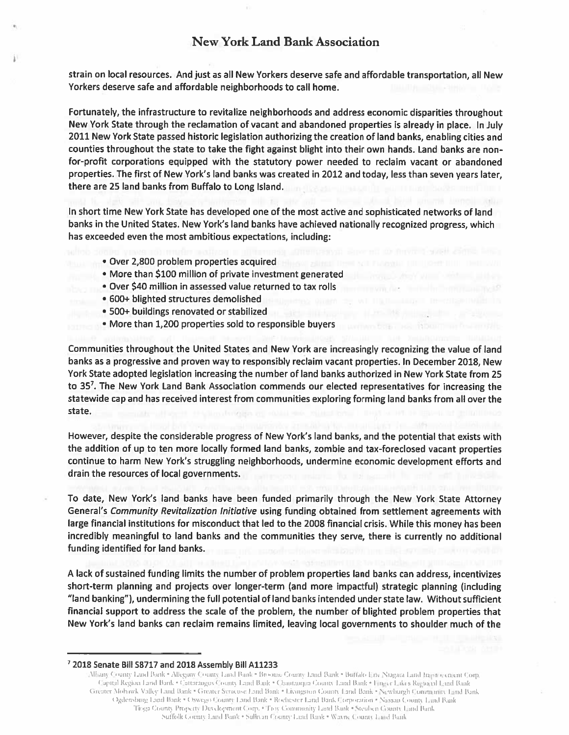strain on local resources. And just as all New Yorkers deserve safe and affordable transportation, all New Yorkers deserve safe and affordable neighborhoods to call home.

Fortunately, the infrastructure to revitalize neighborhoods and address economic disparities throughout New York State through the reclamation of vacant and abandoned properties is already in <sup>p</sup>lace. In July 2011 New York State passed historic legislation authorizing the creation of land banks, enabling cities and counties throughout the state to take the fight against blight into their own hands. Land banks are nonfor-profit corporations equipped with the statutory power needed to reclaim vacant or abandoned properties. The first of New York's land banks was created in 2012 and today, less than seven years later, there are 25 land banks from Buffalo to Long Island.

In short time New York State has developed one of the most active and sophisticated networks of land banks in the United States. New York's land banks have achieved nationally recognized progress, which has exceeded even the most ambitious expectations, including:

- Over 2,800 problem properties acquired
- More than \$100 million of private investment generated
- Over \$40 million in assessed value returned to tax rolls
- 600+ blighted structures demolished
- 500÷ buildings renovated or stabilized
- More than 1,200 properties sold to responsible buyers

Communities throughout the United States and New York are increasingly recognizing the value of land banks as <sup>a</sup> progressive and proven way to responsibly reclaim vacant properties. In December 2018, New York State adopted legislation increasing the number of land banks authorized in New York State from 25 to 35'. The New York Land Bank Association commends our elected representatives for increasing the statewide cap and has received interest from communities exploring forming land banks from all over the state.

However, despite the considerable progress of New York's land banks, and the potential that exists with the addition of up to ten more locally formed land banks, zombie and tax-foreclosed vacant properties continue to harm New York's struggling neighborhoods, undermine economic development efforts and drain the resources of local governments.

To date, New York's land banks have been funded primarily through the New York State Attorney General's Community Revitalization initiative using funding obtained from settlement agreements with large financial institutions for misconduct that led to the 2008 financial crisis. While this money has been incredibly meaningful to land banks and the communities they serve, there is currently no additional funding identified for land banks.

A lack of sustained funding limits the number of problem properties land banks can address, incentivizes short-term planning and projects over longer-term (and more impactful) strategic planning (including "land banking"), undermining the full potential of land banks intended under state law. Without sufficient financial suppor<sup>t</sup> to address the scale of the problem, the number of blighted problem properties that New York's land banks can reclaim remains limited, leaving local governments to shoulder much of the

Albany County Land Bank . Allegany County Land Bank . Broome County Land Bank . Buffalo Eric Nugara Land Improvement Corp. Capital Region Land Bank • Cattarangus County Land Bank • Chautauqua County Land Bank • Finger Lakes Regional Land Bank Greater Mohawk Valley Land Bank • Greater Syracuse Land Bank • Liymgston County Land Bank • Newburgh Community Land Bank C gdensburg Land Bank • C swego County Land Bank • Rochester Land Bank Corporation • Nassau County Land Bank Tioga County Property Development Corp. • Troy Community Land Bank • Steuben County Land Bank Suffolk County Land Bank • Sullivan County Land Bank • Wayne County Land Bank

<sup>2018</sup> Senate Bill <sup>58717</sup> and <sup>2018</sup> Assembly Bill A11233